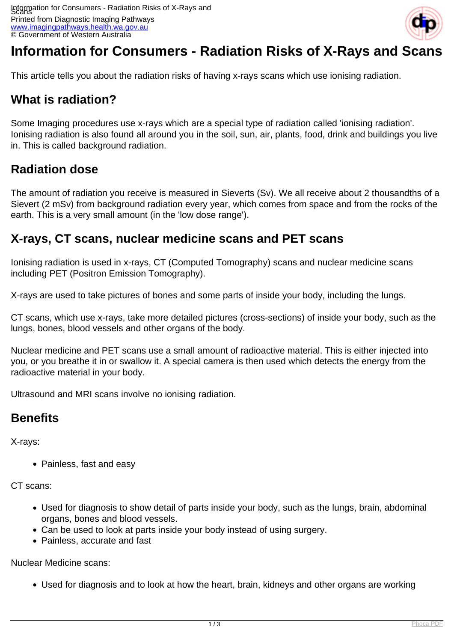Printed from Diagnostic Imaging Pathways [www.imagingpathways.health.wa.gov.au](http://www.imagingpathways.health.wa.gov.au/) © Government of Western Australia



# **Information for Consumers - Radiation Risks of X-Rays and Scans**

This article tells you about the radiation risks of having x-rays scans which use ionising radiation.

## **What is radiation?**

Some Imaging procedures use x-rays which are a special type of radiation called 'ionising radiation'. Ionising radiation is also found all around you in the soil, sun, air, plants, food, drink and buildings you live in. This is called background radiation.

## **Radiation dose**

The amount of radiation you receive is measured in Sieverts (Sv). We all receive about 2 thousandths of a Sievert (2 mSv) from background radiation every year, which comes from space and from the rocks of the earth. This is a very small amount (in the 'low dose range').

## **X-rays, CT scans, nuclear medicine scans and PET scans**

Ionising radiation is used in x-rays, CT (Computed Tomography) scans and nuclear medicine scans including PET (Positron Emission Tomography).

X-rays are used to take pictures of bones and some parts of inside your body, including the lungs.

CT scans, which use x-rays, take more detailed pictures (cross-sections) of inside your body, such as the lungs, bones, blood vessels and other organs of the body.

Nuclear medicine and PET scans use a small amount of radioactive material. This is either injected into you, or you breathe it in or swallow it. A special camera is then used which detects the energy from the radioactive material in your body.

Ultrasound and MRI scans involve no ionising radiation.

## **Benefits**

X-rays:

• Painless, fast and easy

CT scans:

- Used for diagnosis to show detail of parts inside your body, such as the lungs, brain, abdominal organs, bones and blood vessels.
- Can be used to look at parts inside your body instead of using surgery.
- Painless, accurate and fast

Nuclear Medicine scans:

Used for diagnosis and to look at how the heart, brain, kidneys and other organs are working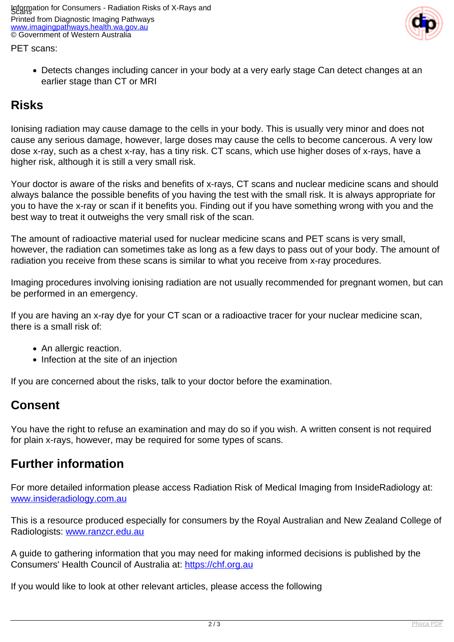

PET scans:

Detects changes including cancer in your body at a very early stage Can detect changes at an earlier stage than CT or MRI

## **Risks**

Ionising radiation may cause damage to the cells in your body. This is usually very minor and does not cause any serious damage, however, large doses may cause the cells to become cancerous. A very low dose x-ray, such as a chest x-ray, has a tiny risk. CT scans, which use higher doses of x-rays, have a higher risk, although it is still a very small risk.

Your doctor is aware of the risks and benefits of x-rays, CT scans and nuclear medicine scans and should always balance the possible benefits of you having the test with the small risk. It is always appropriate for you to have the x-ray or scan if it benefits you. Finding out if you have something wrong with you and the best way to treat it outweighs the very small risk of the scan.

The amount of radioactive material used for nuclear medicine scans and PET scans is very small, however, the radiation can sometimes take as long as a few days to pass out of your body. The amount of radiation you receive from these scans is similar to what you receive from x-ray procedures.

Imaging procedures involving ionising radiation are not usually recommended for pregnant women, but can be performed in an emergency.

If you are having an x-ray dye for your CT scan or a radioactive tracer for your nuclear medicine scan, there is a small risk of:

- An allergic reaction.
- Infection at the site of an injection

If you are concerned about the risks, talk to your doctor before the examination.

## **Consent**

You have the right to refuse an examination and may do so if you wish. A written consent is not required for plain x-rays, however, may be required for some types of scans.

## **Further information**

For more detailed information please access Radiation Risk of Medical Imaging from InsideRadiology at: [www.insideradiology.com.au](http://www.insideradiology.com.au/pages/view.php?T_id=57)

This is a resource produced especially for consumers by the Royal Australian and New Zealand College of Radiologists: [www.ranzcr.edu.au](http://www.ranzcr.edu.au/)

A guide to gathering information that you may need for making informed decisions is published by the Consumers' Health Council of Australia at: <https://chf.org.au>

If you would like to look at other relevant articles, please access the following